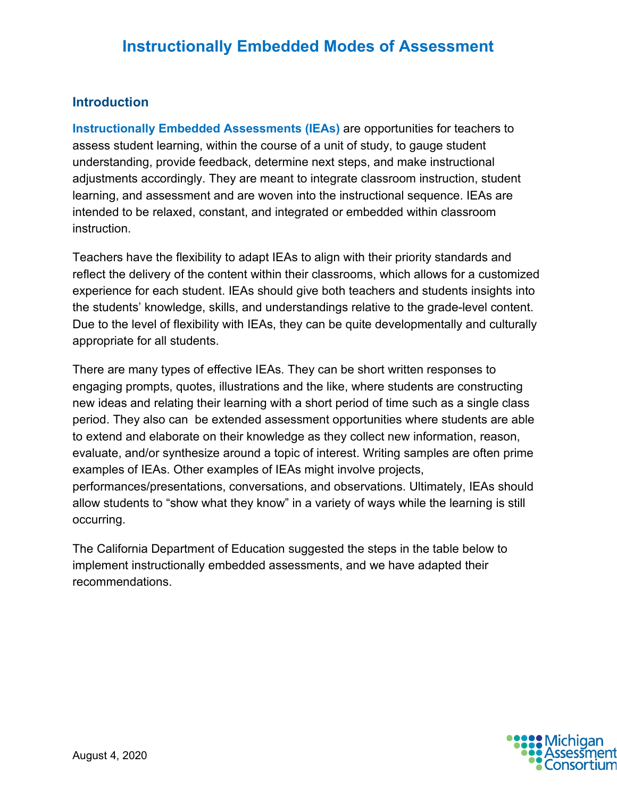### **Introduction**

**Instructionally Embedded Assessments (IEAs)** are opportunities for teachers to assess student learning, within the course of a unit of study, to gauge student understanding, provide feedback, determine next steps, and make instructional adjustments accordingly. They are meant to integrate classroom instruction, student learning, and assessment and are woven into the instructional sequence. IEAs are intended to be relaxed, constant, and integrated or embedded within classroom instruction.

Teachers have the flexibility to adapt IEAs to align with their priority standards and reflect the delivery of the content within their classrooms, which allows for a customized experience for each student. IEAs should give both teachers and students insights into the students' knowledge, skills, and understandings relative to the grade-level content. Due to the level of flexibility with IEAs, they can be quite developmentally and culturally appropriate for all students.

There are many types of effective IEAs. They can be short written responses to engaging prompts, quotes, illustrations and the like, where students are constructing new ideas and relating their learning with a short period of time such as a single class period. They also can be extended assessment opportunities where students are able to extend and elaborate on their knowledge as they collect new information, reason, evaluate, and/or synthesize around a topic of interest. Writing samples are often prime examples of IEAs. Other examples of IEAs might involve projects, performances/presentations, conversations, and observations. Ultimately, IEAs should allow students to "show what they know" in a variety of ways while the learning is still occurring.

The California Department of Education suggested the steps in the table below to implement instructionally embedded assessments, and we have adapted their recommendations.

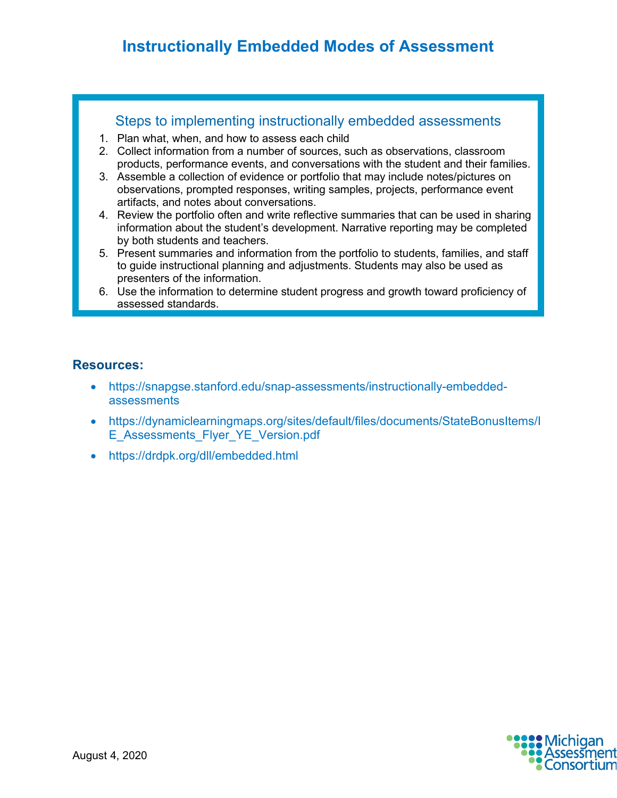## **[Instructionally Embedded Modes of Assessment](https://drive.google.com/file/d/1MK0tAyU7_-G_6xJOeyoEPjAOyal8Ghcx/view?usp=sharing)**

#### Steps to implementing instructionally embedded assessments

- 1. Plan what, when, and how to assess each child
- 2. Collect information from a number of sources, such as observations, classroom products, performance events, and conversations with the student and their families.
- 3. Assemble a collection of evidence or portfolio that may include notes/pictures on observations, prompted responses, writing samples, projects, performance event artifacts, and notes about conversations.
- 4. Review the portfolio often and write reflective summaries that can be used in sharing information about the student's development. Narrative reporting may be completed by both students and teachers.
- 5. Present summaries and information from the portfolio to students, families, and staff to guide instructional planning and adjustments. Students may also be used as presenters of the information.
- 6. Use the information to determine student progress and growth toward proficiency of assessed standards.

#### **Resources:**

- [https://snapgse.stanford.edu/snap-assessments/instructionally-embedded](https://snapgse.stanford.edu/snap-assessments/instructionally-embedded-assessments)[assessments](https://snapgse.stanford.edu/snap-assessments/instructionally-embedded-assessments)
- [https://dynamiclearningmaps.org/sites/default/files/documents/StateBonusItems/I](https://dynamiclearningmaps.org/sites/default/files/documents/StateBonusItems/IE_Assessments_Flyer_YE_Version.pdf) E Assessments Flyer YE Version.pdf
- <https://drdpk.org/dll/embedded.html>